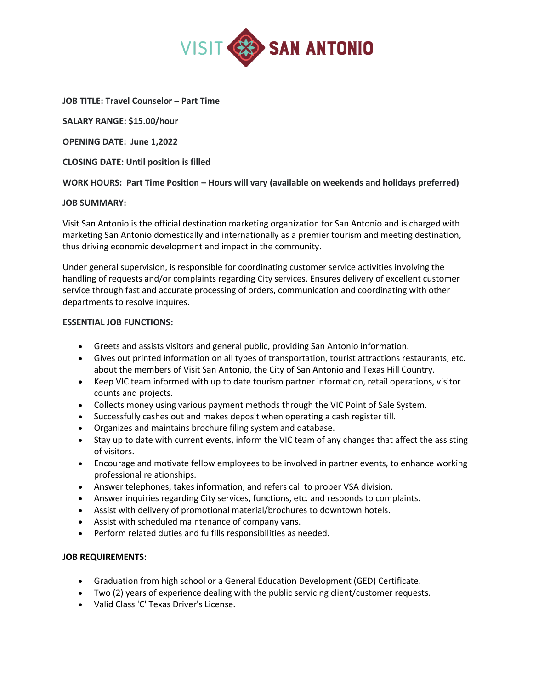

**JOB TITLE: Travel Counselor – Part Time**

**SALARY RANGE: \$15.00/hour**

**OPENING DATE: June 1,2022**

**CLOSING DATE: Until position is filled**

**WORK HOURS: Part Time Position – Hours will vary (available on weekends and holidays preferred)**

#### **JOB SUMMARY:**

Visit San Antonio is the official destination marketing organization for San Antonio and is charged with marketing San Antonio domestically and internationally as a premier tourism and meeting destination, thus driving economic development and impact in the community.

Under general supervision, is responsible for coordinating customer service activities involving the handling of requests and/or complaints regarding City services. Ensures delivery of excellent customer service through fast and accurate processing of orders, communication and coordinating with other departments to resolve inquires.

#### **ESSENTIAL JOB FUNCTIONS:**

- Greets and assists visitors and general public, providing San Antonio information.
- Gives out printed information on all types of transportation, tourist attractions restaurants, etc. about the members of Visit San Antonio, the City of San Antonio and Texas Hill Country.
- Keep VIC team informed with up to date tourism partner information, retail operations, visitor counts and projects.
- Collects money using various payment methods through the VIC Point of Sale System.
- Successfully cashes out and makes deposit when operating a cash register till.
- Organizes and maintains brochure filing system and database.
- Stay up to date with current events, inform the VIC team of any changes that affect the assisting of visitors.
- Encourage and motivate fellow employees to be involved in partner events, to enhance working professional relationships.
- Answer telephones, takes information, and refers call to proper VSA division.
- Answer inquiries regarding City services, functions, etc. and responds to complaints.
- Assist with delivery of promotional material/brochures to downtown hotels.
- Assist with scheduled maintenance of company vans.
- Perform related duties and fulfills responsibilities as needed.

#### **JOB REQUIREMENTS:**

- Graduation from high school or a General Education Development (GED) Certificate.
- Two (2) years of experience dealing with the public servicing client/customer requests.
- Valid Class 'C' Texas Driver's License.